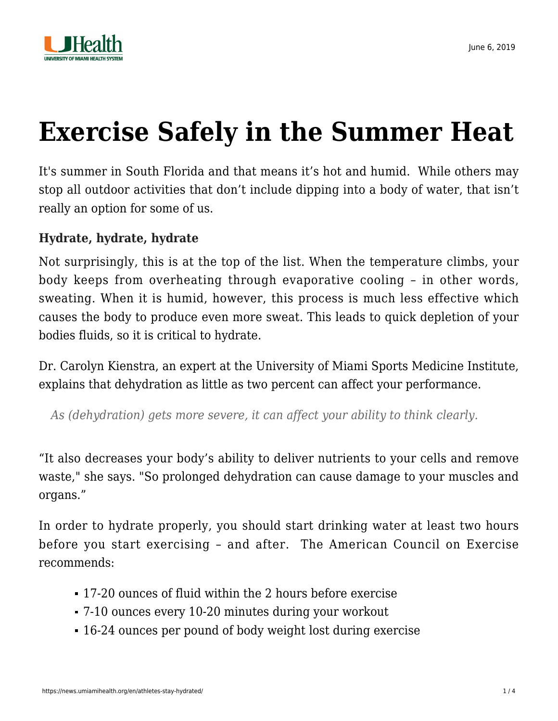

## **[Exercise Safely in the Summer Heat](https://news.umiamihealth.org/en/athletes-stay-hydrated/)**

It's summer in South Florida and that means it's hot and humid. While others may stop all outdoor activities that don't include dipping into a body of water, that isn't really an option for some of us.

## **Hydrate, hydrate, hydrate**

Not surprisingly, this is at the top of the list. When the temperature climbs, your body keeps from overheating through evaporative cooling – in other words, sweating. When it is humid, however, this process is much less effective which causes the body to produce even more sweat. This leads to quick depletion of your bodies fluids, so it is critical to hydrate.

Dr. Carolyn Kienstra, an expert at the University of Miami Sports Medicine Institute, explains that dehydration as little as two percent can affect your performance.

*As (dehydration) gets more severe, it can affect your ability to think clearly.*

"It also decreases your body's ability to deliver nutrients to your cells and remove waste," she says. "So prolonged dehydration can cause damage to your muscles and organs."

In order to hydrate properly, you should start drinking water at least two hours before you start exercising – and after. The American Council on Exercise recommends:

- 17-20 ounces of fluid within the 2 hours before exercise
- 7-10 ounces every 10-20 minutes during your workout
- 16-24 ounces per pound of body weight lost during exercise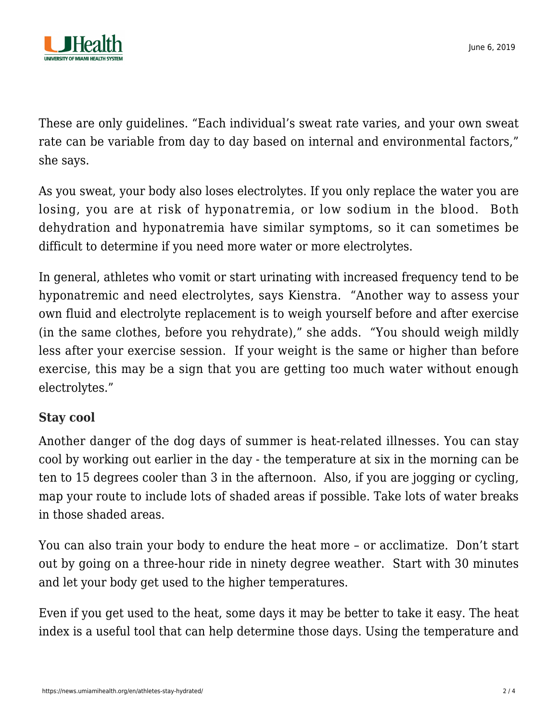

These are only guidelines. "Each individual's sweat rate varies, and your own sweat rate can be variable from day to day based on internal and environmental factors," she says.

As you sweat, your body also loses electrolytes. If you only replace the water you are losing, you are at risk of hyponatremia, or low sodium in the blood. Both dehydration and hyponatremia have similar symptoms, so it can sometimes be difficult to determine if you need more water or more electrolytes.

In general, athletes who vomit or start urinating with increased frequency tend to be hyponatremic and need electrolytes, says Kienstra. "Another way to assess your own fluid and electrolyte replacement is to weigh yourself before and after exercise (in the same clothes, before you rehydrate)," she adds. "You should weigh mildly less after your exercise session. If your weight is the same or higher than before exercise, this may be a sign that you are getting too much water without enough electrolytes."

## **Stay cool**

Another danger of the dog days of summer is heat-related illnesses. You can stay cool by working out earlier in the day - the temperature at six in the morning can be ten to 15 degrees cooler than 3 in the afternoon. Also, if you are jogging or cycling, map your route to include lots of shaded areas if possible. Take lots of water breaks in those shaded areas.

You can also train your body to endure the heat more – or acclimatize. Don't start out by going on a three-hour ride in ninety degree weather. Start with 30 minutes and let your body get used to the higher temperatures.

Even if you get used to the heat, some days it may be better to take it easy. The [heat](https://www.weather.gov/safety/heat-index) [index](https://www.weather.gov/safety/heat-index) is a useful tool that can help determine those days. Using the temperature and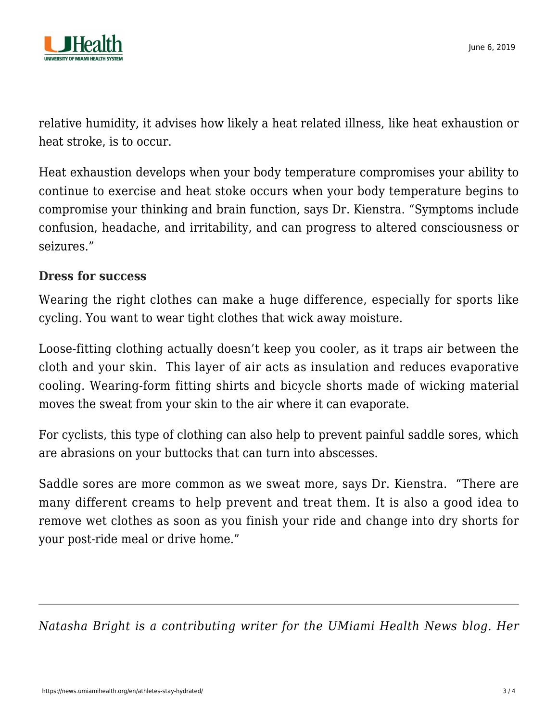

relative humidity, it advises how likely a heat related illness, like heat exhaustion or heat stroke, is to occur.

Heat exhaustion develops when your body temperature compromises your ability to continue to exercise and heat stoke occurs when your body temperature begins to compromise your thinking and brain function, says Dr. Kienstra. "Symptoms include confusion, headache, and irritability, and can progress to altered consciousness or seizures."

## **Dress for success**

Wearing the right clothes can make a huge difference, especially for sports like cycling. You want to wear tight clothes that wick away moisture.

Loose-fitting clothing actually doesn't keep you cooler, as it traps air between the cloth and your skin. This layer of air acts as insulation and reduces evaporative cooling. Wearing-form fitting shirts and bicycle shorts made of wicking material moves the sweat from your skin to the air where it can evaporate.

For cyclists, this type of clothing can also help to prevent painful saddle sores, which are abrasions on your buttocks that can turn into abscesses.

Saddle sores are more common as we sweat more, says Dr. Kienstra. "There are many different creams to help prevent and treat them. It is also a good idea to remove wet clothes as soon as you finish your ride and change into dry shorts for your post-ride meal or drive home."

*Natasha Bright is a contributing writer for the UMiami Health News blog. Her*